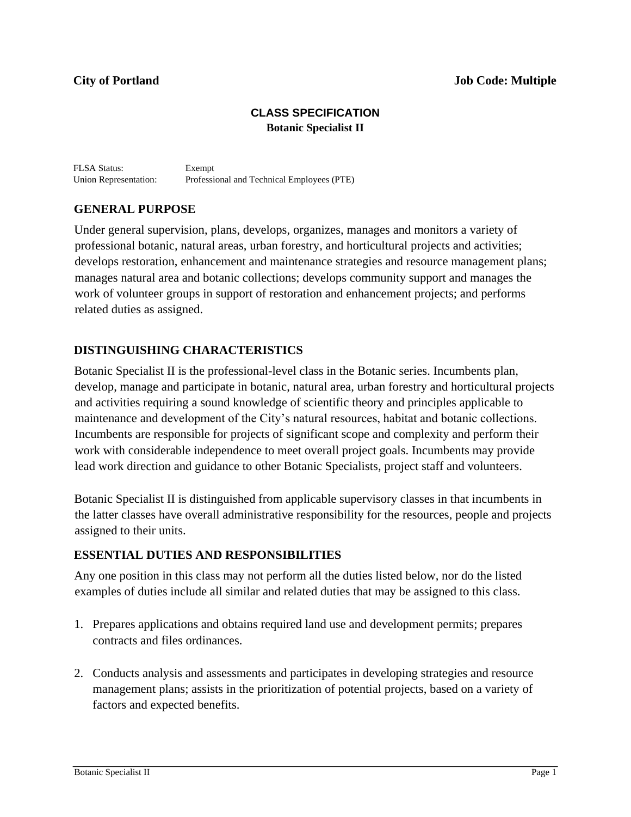## **City of Portland Job Code: Multiple**

# **CLASS SPECIFICATION Botanic Specialist II**

FLSA Status: Exempt Union Representation: Professional and Technical Employees (PTE)

## **GENERAL PURPOSE**

Under general supervision, plans, develops, organizes, manages and monitors a variety of professional botanic, natural areas, urban forestry, and horticultural projects and activities; develops restoration, enhancement and maintenance strategies and resource management plans; manages natural area and botanic collections; develops community support and manages the work of volunteer groups in support of restoration and enhancement projects; and performs related duties as assigned.

## **DISTINGUISHING CHARACTERISTICS**

Botanic Specialist II is the professional-level class in the Botanic series. Incumbents plan, develop, manage and participate in botanic, natural area, urban forestry and horticultural projects and activities requiring a sound knowledge of scientific theory and principles applicable to maintenance and development of the City's natural resources, habitat and botanic collections. Incumbents are responsible for projects of significant scope and complexity and perform their work with considerable independence to meet overall project goals. Incumbents may provide lead work direction and guidance to other Botanic Specialists, project staff and volunteers.

Botanic Specialist II is distinguished from applicable supervisory classes in that incumbents in the latter classes have overall administrative responsibility for the resources, people and projects assigned to their units.

## **ESSENTIAL DUTIES AND RESPONSIBILITIES**

Any one position in this class may not perform all the duties listed below, nor do the listed examples of duties include all similar and related duties that may be assigned to this class.

- 1. Prepares applications and obtains required land use and development permits; prepares contracts and files ordinances.
- 2. Conducts analysis and assessments and participates in developing strategies and resource management plans; assists in the prioritization of potential projects, based on a variety of factors and expected benefits.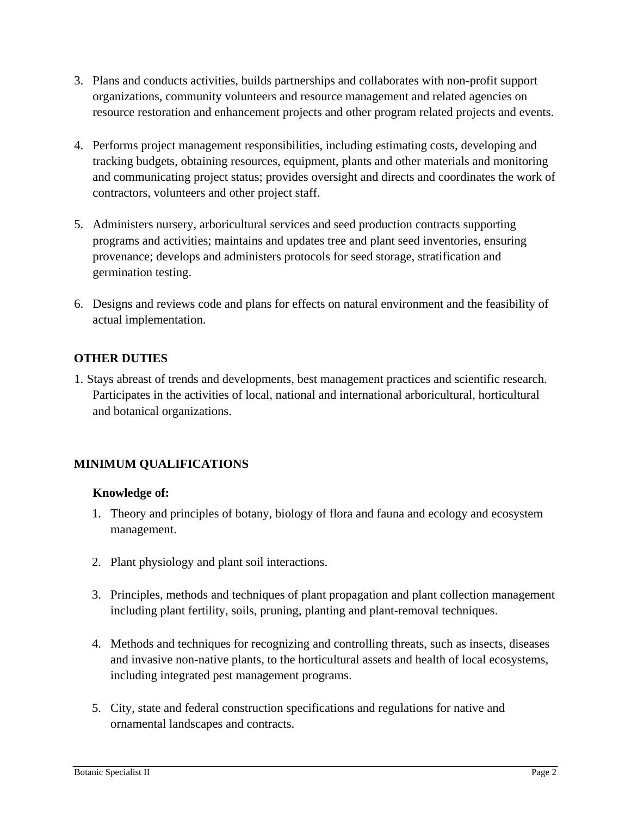- 3. Plans and conducts activities, builds partnerships and collaborates with non-profit support organizations, community volunteers and resource management and related agencies on resource restoration and enhancement projects and other program related projects and events.
- 4. Performs project management responsibilities, including estimating costs, developing and tracking budgets, obtaining resources, equipment, plants and other materials and monitoring and communicating project status; provides oversight and directs and coordinates the work of contractors, volunteers and other project staff.
- 5. Administers nursery, arboricultural services and seed production contracts supporting programs and activities; maintains and updates tree and plant seed inventories, ensuring provenance; develops and administers protocols for seed storage, stratification and germination testing.
- 6. Designs and reviews code and plans for effects on natural environment and the feasibility of actual implementation.

# **OTHER DUTIES**

1. Stays abreast of trends and developments, best management practices and scientific research. Participates in the activities of local, national and international arboricultural, horticultural and botanical organizations.

# **MINIMUM QUALIFICATIONS**

# **Knowledge of:**

- 1. Theory and principles of botany, biology of flora and fauna and ecology and ecosystem management.
- 2. Plant physiology and plant soil interactions.
- 3. Principles, methods and techniques of plant propagation and plant collection management including plant fertility, soils, pruning, planting and plant-removal techniques.
- 4. Methods and techniques for recognizing and controlling threats, such as insects, diseases and invasive non-native plants, to the horticultural assets and health of local ecosystems, including integrated pest management programs.
- 5. City, state and federal construction specifications and regulations for native and ornamental landscapes and contracts.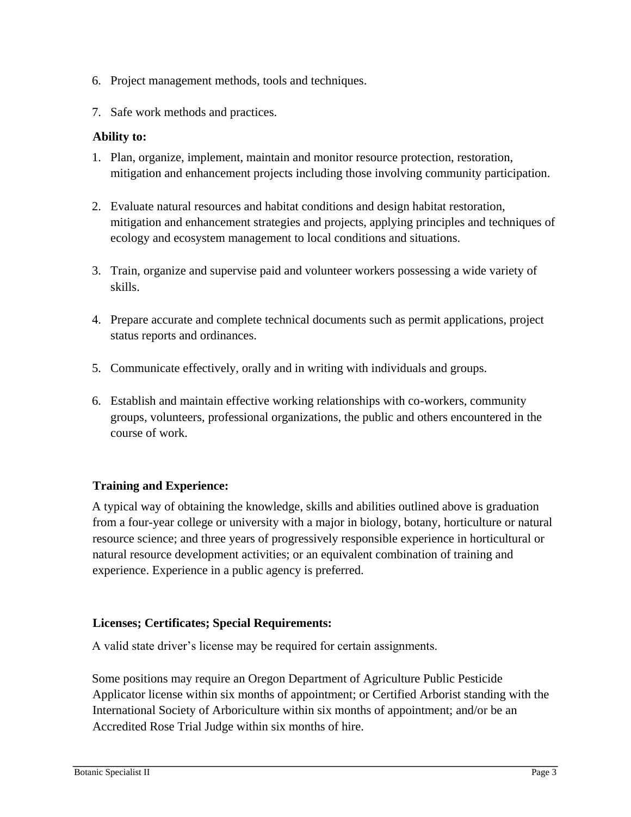- 6. Project management methods, tools and techniques.
- 7. Safe work methods and practices.

## **Ability to:**

- 1. Plan, organize, implement, maintain and monitor resource protection, restoration, mitigation and enhancement projects including those involving community participation.
- 2. Evaluate natural resources and habitat conditions and design habitat restoration, mitigation and enhancement strategies and projects, applying principles and techniques of ecology and ecosystem management to local conditions and situations.
- 3. Train, organize and supervise paid and volunteer workers possessing a wide variety of skills.
- 4. Prepare accurate and complete technical documents such as permit applications, project status reports and ordinances.
- 5. Communicate effectively, orally and in writing with individuals and groups.
- 6. Establish and maintain effective working relationships with co-workers, community groups, volunteers, professional organizations, the public and others encountered in the course of work.

# **Training and Experience:**

A typical way of obtaining the knowledge, skills and abilities outlined above is graduation from a four-year college or university with a major in biology, botany, horticulture or natural resource science; and three years of progressively responsible experience in horticultural or natural resource development activities; or an equivalent combination of training and experience. Experience in a public agency is preferred.

# **Licenses; Certificates; Special Requirements:**

A valid state driver's license may be required for certain assignments.

Some positions may require an Oregon Department of Agriculture Public Pesticide Applicator license within six months of appointment; or Certified Arborist standing with the International Society of Arboriculture within six months of appointment; and/or be an Accredited Rose Trial Judge within six months of hire.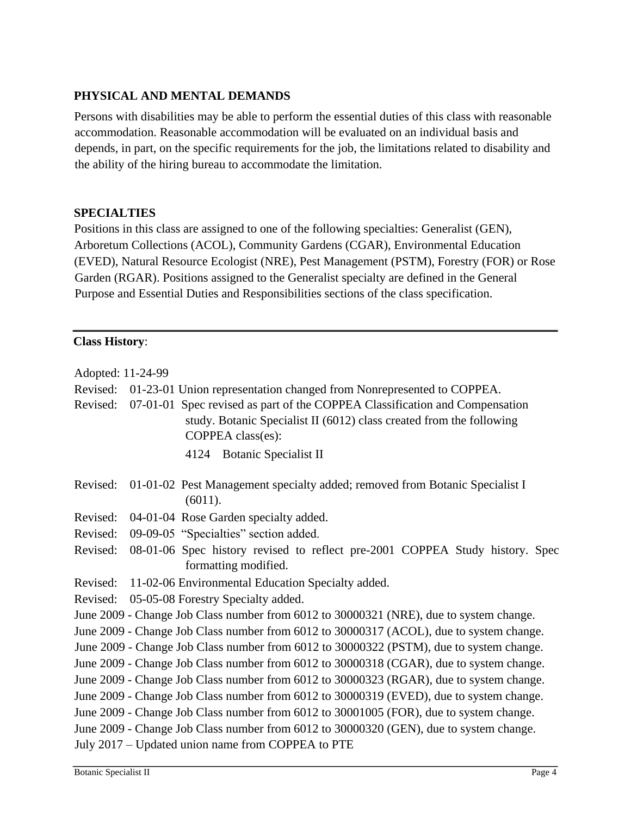# **PHYSICAL AND MENTAL DEMANDS**

Persons with disabilities may be able to perform the essential duties of this class with reasonable accommodation. Reasonable accommodation will be evaluated on an individual basis and depends, in part, on the specific requirements for the job, the limitations related to disability and the ability of the hiring bureau to accommodate the limitation.

## **SPECIALTIES**

Positions in this class are assigned to one of the following specialties: Generalist (GEN), Arboretum Collections (ACOL), Community Gardens (CGAR), Environmental Education (EVED), Natural Resource Ecologist (NRE), Pest Management (PSTM), Forestry (FOR) or Rose Garden (RGAR). Positions assigned to the Generalist specialty are defined in the General Purpose and Essential Duties and Responsibilities sections of the class specification.

## **Class History**:

| Adopted: 11-24-99    |                                                                                                                                                                                                                                                  |
|----------------------|--------------------------------------------------------------------------------------------------------------------------------------------------------------------------------------------------------------------------------------------------|
| Revised:<br>Revised: | 01-23-01 Union representation changed from Nonrepresented to COPPEA.<br>07-01-01 Spec revised as part of the COPPEA Classification and Compensation<br>study. Botanic Specialist II (6012) class created from the following<br>COPPEA class(es): |
|                      | 4124 Botanic Specialist II                                                                                                                                                                                                                       |
| Revised:             | 01-01-02 Pest Management specialty added; removed from Botanic Specialist I<br>(6011).                                                                                                                                                           |
| Revised:             | 04-01-04 Rose Garden specialty added.                                                                                                                                                                                                            |
| Revised:             | 09-09-05 "Specialties" section added.                                                                                                                                                                                                            |
| Revised:             | 08-01-06 Spec history revised to reflect pre-2001 COPPEA Study history. Spec<br>formatting modified.                                                                                                                                             |
| Revised:             | 11-02-06 Environmental Education Specialty added.                                                                                                                                                                                                |
| Revised:             | 05-05-08 Forestry Specialty added.                                                                                                                                                                                                               |
|                      | June 2009 - Change Job Class number from 6012 to 30000321 (NRE), due to system change.                                                                                                                                                           |
|                      | June 2009 - Change Job Class number from 6012 to 30000317 (ACOL), due to system change.                                                                                                                                                          |
|                      | June 2009 - Change Job Class number from 6012 to 30000322 (PSTM), due to system change.                                                                                                                                                          |
|                      | June 2009 - Change Job Class number from 6012 to 30000318 (CGAR), due to system change.                                                                                                                                                          |
|                      | June 2009 - Change Job Class number from 6012 to 30000323 (RGAR), due to system change.                                                                                                                                                          |
|                      | June 2009 - Change Job Class number from 6012 to 30000319 (EVED), due to system change.                                                                                                                                                          |
|                      | June 2009 - Change Job Class number from 6012 to 30001005 (FOR), due to system change.                                                                                                                                                           |
|                      | June 2009 - Change Job Class number from 6012 to 30000320 (GEN), due to system change.                                                                                                                                                           |
|                      | July 2017 – Updated union name from COPPEA to PTE                                                                                                                                                                                                |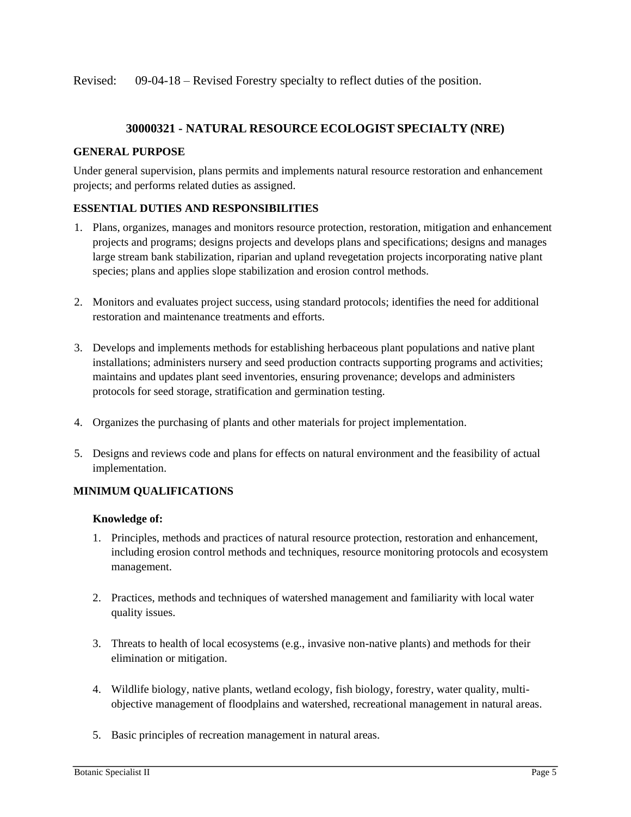Revised: 09-04-18 – Revised Forestry specialty to reflect duties of the position.

## **30000321 - NATURAL RESOURCE ECOLOGIST SPECIALTY (NRE)**

#### **GENERAL PURPOSE**

Under general supervision, plans permits and implements natural resource restoration and enhancement projects; and performs related duties as assigned.

#### **ESSENTIAL DUTIES AND RESPONSIBILITIES**

- 1. Plans, organizes, manages and monitors resource protection, restoration, mitigation and enhancement projects and programs; designs projects and develops plans and specifications; designs and manages large stream bank stabilization, riparian and upland revegetation projects incorporating native plant species; plans and applies slope stabilization and erosion control methods.
- 2. Monitors and evaluates project success, using standard protocols; identifies the need for additional restoration and maintenance treatments and efforts.
- 3. Develops and implements methods for establishing herbaceous plant populations and native plant installations; administers nursery and seed production contracts supporting programs and activities; maintains and updates plant seed inventories, ensuring provenance; develops and administers protocols for seed storage, stratification and germination testing.
- 4. Organizes the purchasing of plants and other materials for project implementation.
- 5. Designs and reviews code and plans for effects on natural environment and the feasibility of actual implementation.

## **MINIMUM QUALIFICATIONS**

#### **Knowledge of:**

- 1. Principles, methods and practices of natural resource protection, restoration and enhancement, including erosion control methods and techniques, resource monitoring protocols and ecosystem management.
- 2. Practices, methods and techniques of watershed management and familiarity with local water quality issues.
- 3. Threats to health of local ecosystems (e.g., invasive non-native plants) and methods for their elimination or mitigation.
- 4. Wildlife biology, native plants, wetland ecology, fish biology, forestry, water quality, multiobjective management of floodplains and watershed, recreational management in natural areas.
- 5. Basic principles of recreation management in natural areas.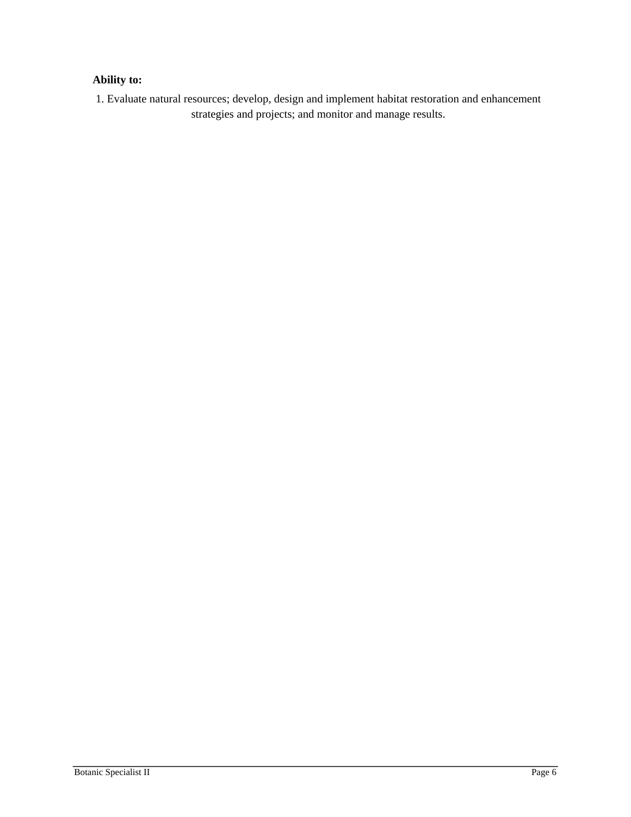# **Ability to:**

1. Evaluate natural resources; develop, design and implement habitat restoration and enhancement strategies and projects; and monitor and manage results.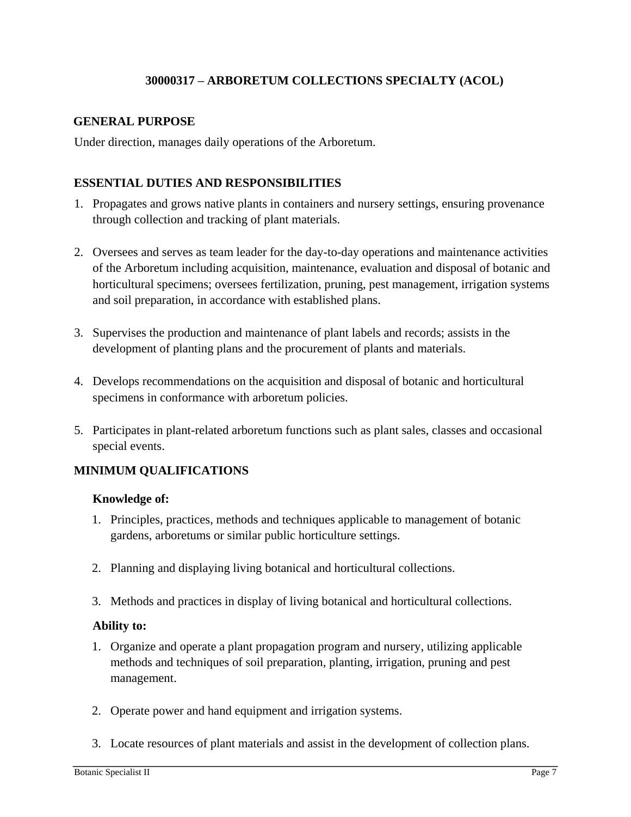# **30000317 – ARBORETUM COLLECTIONS SPECIALTY (ACOL)**

## **GENERAL PURPOSE**

Under direction, manages daily operations of the Arboretum.

# **ESSENTIAL DUTIES AND RESPONSIBILITIES**

- 1. Propagates and grows native plants in containers and nursery settings, ensuring provenance through collection and tracking of plant materials.
- 2. Oversees and serves as team leader for the day-to-day operations and maintenance activities of the Arboretum including acquisition, maintenance, evaluation and disposal of botanic and horticultural specimens; oversees fertilization, pruning, pest management, irrigation systems and soil preparation, in accordance with established plans.
- 3. Supervises the production and maintenance of plant labels and records; assists in the development of planting plans and the procurement of plants and materials.
- 4. Develops recommendations on the acquisition and disposal of botanic and horticultural specimens in conformance with arboretum policies.
- 5. Participates in plant-related arboretum functions such as plant sales, classes and occasional special events.

# **MINIMUM QUALIFICATIONS**

## **Knowledge of:**

- 1. Principles, practices, methods and techniques applicable to management of botanic gardens, arboretums or similar public horticulture settings.
- 2. Planning and displaying living botanical and horticultural collections.
- 3. Methods and practices in display of living botanical and horticultural collections.

# **Ability to:**

- 1. Organize and operate a plant propagation program and nursery, utilizing applicable methods and techniques of soil preparation, planting, irrigation, pruning and pest management.
- 2. Operate power and hand equipment and irrigation systems.
- 3. Locate resources of plant materials and assist in the development of collection plans.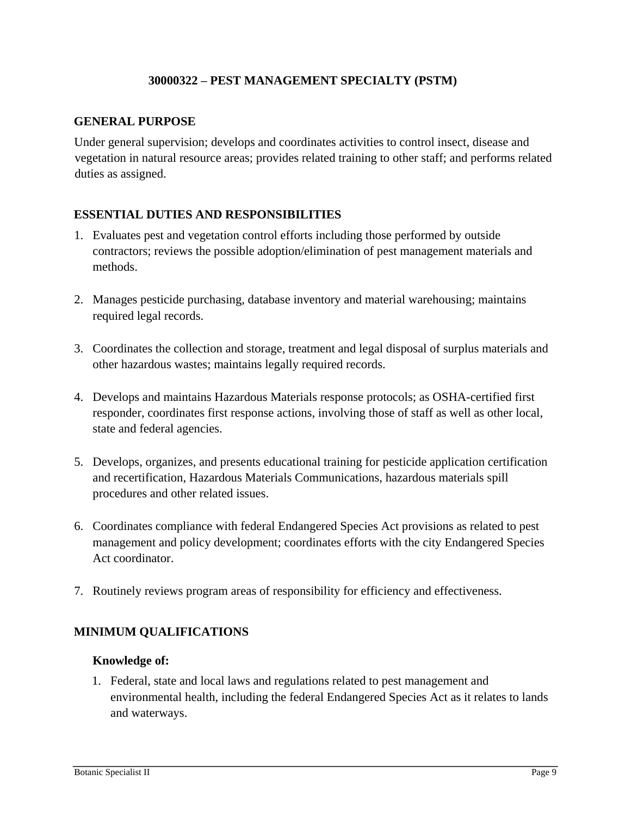## **30000322 – PEST MANAGEMENT SPECIALTY (PSTM)**

## **GENERAL PURPOSE**

Under general supervision; develops and coordinates activities to control insect, disease and vegetation in natural resource areas; provides related training to other staff; and performs related duties as assigned.

# **ESSENTIAL DUTIES AND RESPONSIBILITIES**

- 1. Evaluates pest and vegetation control efforts including those performed by outside contractors; reviews the possible adoption/elimination of pest management materials and methods.
- 2. Manages pesticide purchasing, database inventory and material warehousing; maintains required legal records.
- 3. Coordinates the collection and storage, treatment and legal disposal of surplus materials and other hazardous wastes; maintains legally required records.
- 4. Develops and maintains Hazardous Materials response protocols; as OSHA-certified first responder, coordinates first response actions, involving those of staff as well as other local, state and federal agencies.
- 5. Develops, organizes, and presents educational training for pesticide application certification and recertification, Hazardous Materials Communications, hazardous materials spill procedures and other related issues.
- 6. Coordinates compliance with federal Endangered Species Act provisions as related to pest management and policy development; coordinates efforts with the city Endangered Species Act coordinator.
- 7. Routinely reviews program areas of responsibility for efficiency and effectiveness.

# **MINIMUM QUALIFICATIONS**

## **Knowledge of:**

1. Federal, state and local laws and regulations related to pest management and environmental health, including the federal Endangered Species Act as it relates to lands and waterways.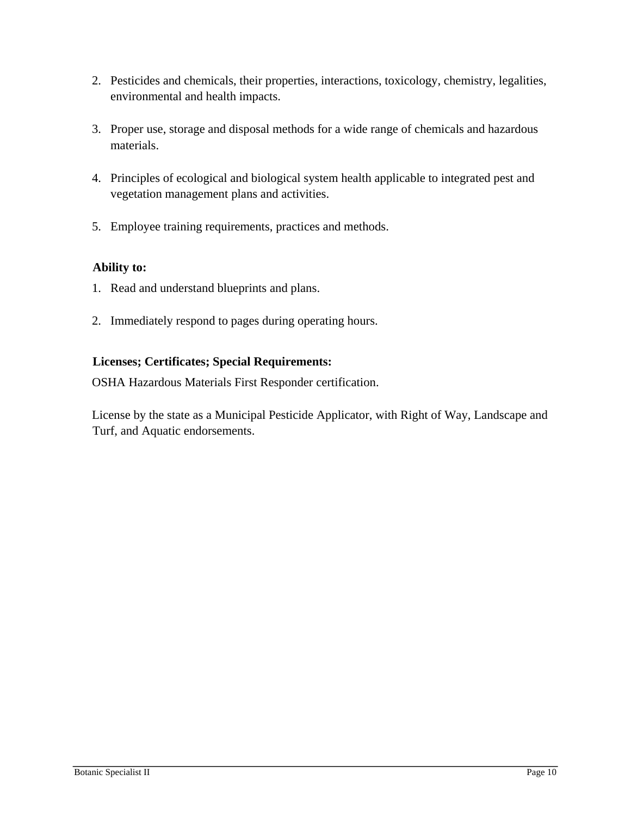- 2. Pesticides and chemicals, their properties, interactions, toxicology, chemistry, legalities, environmental and health impacts.
- 3. Proper use, storage and disposal methods for a wide range of chemicals and hazardous materials.
- 4. Principles of ecological and biological system health applicable to integrated pest and vegetation management plans and activities.
- 5. Employee training requirements, practices and methods.

# **Ability to:**

- 1. Read and understand blueprints and plans.
- 2. Immediately respond to pages during operating hours.

# **Licenses; Certificates; Special Requirements:**

OSHA Hazardous Materials First Responder certification.

License by the state as a Municipal Pesticide Applicator, with Right of Way, Landscape and Turf, and Aquatic endorsements.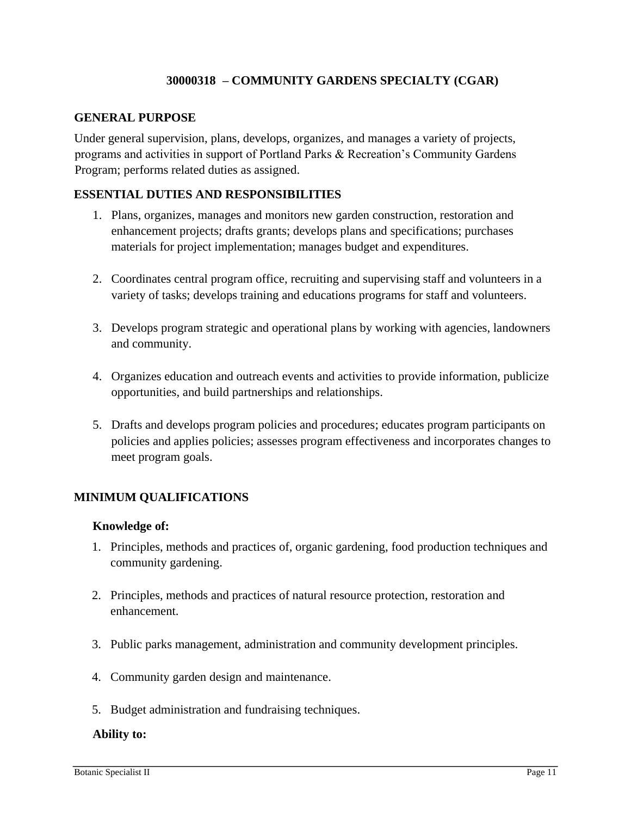# **30000318 – COMMUNITY GARDENS SPECIALTY (CGAR)**

## **GENERAL PURPOSE**

Under general supervision, plans, develops, organizes, and manages a variety of projects, programs and activities in support of Portland Parks & Recreation's Community Gardens Program; performs related duties as assigned.

## **ESSENTIAL DUTIES AND RESPONSIBILITIES**

- 1. Plans, organizes, manages and monitors new garden construction, restoration and enhancement projects; drafts grants; develops plans and specifications; purchases materials for project implementation; manages budget and expenditures.
- 2. Coordinates central program office, recruiting and supervising staff and volunteers in a variety of tasks; develops training and educations programs for staff and volunteers.
- 3. Develops program strategic and operational plans by working with agencies, landowners and community.
- 4. Organizes education and outreach events and activities to provide information, publicize opportunities, and build partnerships and relationships.
- 5. Drafts and develops program policies and procedures; educates program participants on policies and applies policies; assesses program effectiveness and incorporates changes to meet program goals.

# **MINIMUM QUALIFICATIONS**

## **Knowledge of:**

- 1. Principles, methods and practices of, organic gardening, food production techniques and community gardening.
- 2. Principles, methods and practices of natural resource protection, restoration and enhancement.
- 3. Public parks management, administration and community development principles.
- 4. Community garden design and maintenance.
- 5. Budget administration and fundraising techniques.

#### **Ability to:**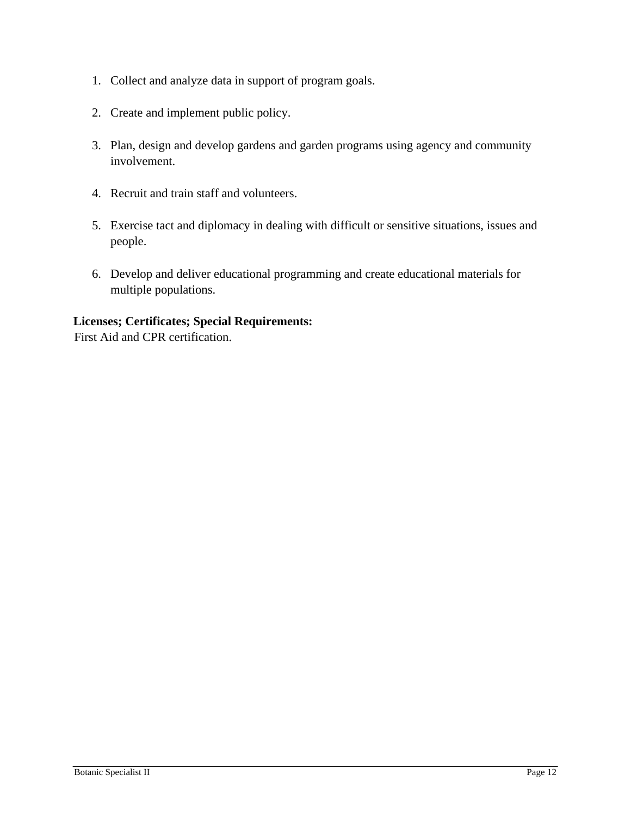- 1. Collect and analyze data in support of program goals.
- 2. Create and implement public policy.
- 3. Plan, design and develop gardens and garden programs using agency and community involvement.
- 4. Recruit and train staff and volunteers.
- 5. Exercise tact and diplomacy in dealing with difficult or sensitive situations, issues and people.
- 6. Develop and deliver educational programming and create educational materials for multiple populations.

# **Licenses; Certificates; Special Requirements:**

First Aid and CPR certification.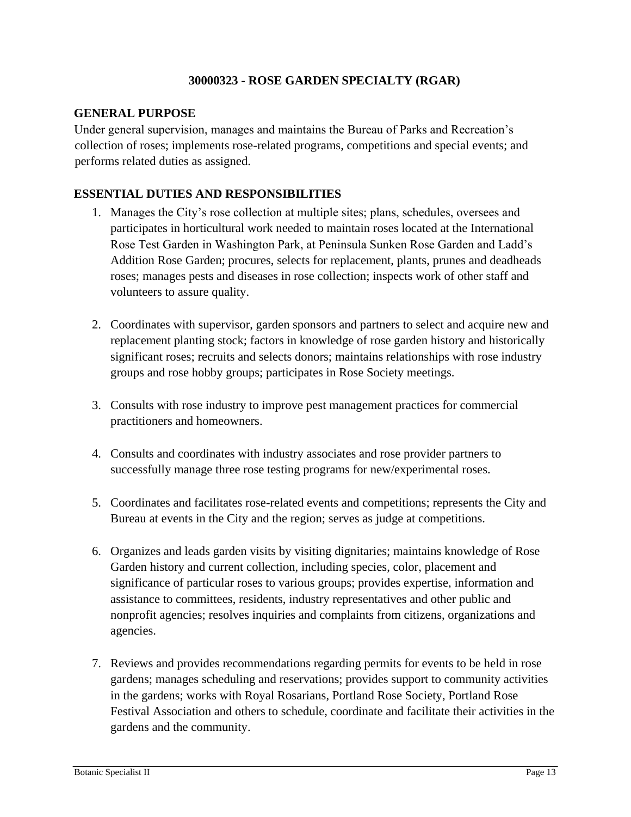## **30000323 - ROSE GARDEN SPECIALTY (RGAR)**

## **GENERAL PURPOSE**

Under general supervision, manages and maintains the Bureau of Parks and Recreation's collection of roses; implements rose-related programs, competitions and special events; and performs related duties as assigned.

# **ESSENTIAL DUTIES AND RESPONSIBILITIES**

- 1. Manages the City's rose collection at multiple sites; plans, schedules, oversees and participates in horticultural work needed to maintain roses located at the International Rose Test Garden in Washington Park, at Peninsula Sunken Rose Garden and Ladd's Addition Rose Garden; procures, selects for replacement, plants, prunes and deadheads roses; manages pests and diseases in rose collection; inspects work of other staff and volunteers to assure quality.
- 2. Coordinates with supervisor, garden sponsors and partners to select and acquire new and replacement planting stock; factors in knowledge of rose garden history and historically significant roses; recruits and selects donors; maintains relationships with rose industry groups and rose hobby groups; participates in Rose Society meetings.
- 3. Consults with rose industry to improve pest management practices for commercial practitioners and homeowners.
- 4. Consults and coordinates with industry associates and rose provider partners to successfully manage three rose testing programs for new/experimental roses.
- 5. Coordinates and facilitates rose-related events and competitions; represents the City and Bureau at events in the City and the region; serves as judge at competitions.
- 6. Organizes and leads garden visits by visiting dignitaries; maintains knowledge of Rose Garden history and current collection, including species, color, placement and significance of particular roses to various groups; provides expertise, information and assistance to committees, residents, industry representatives and other public and nonprofit agencies; resolves inquiries and complaints from citizens, organizations and agencies.
- 7. Reviews and provides recommendations regarding permits for events to be held in rose gardens; manages scheduling and reservations; provides support to community activities in the gardens; works with Royal Rosarians, Portland Rose Society, Portland Rose Festival Association and others to schedule, coordinate and facilitate their activities in the gardens and the community.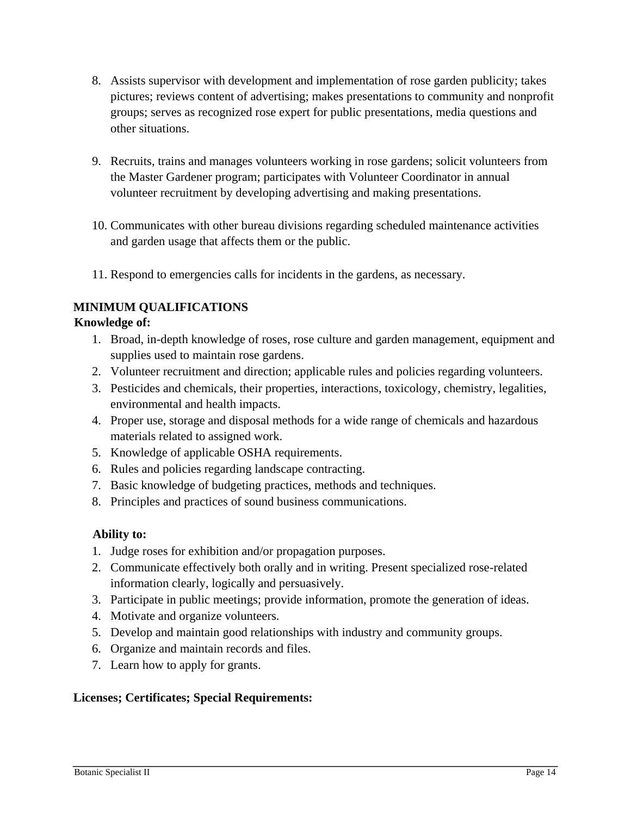- 8. Assists supervisor with development and implementation of rose garden publicity; takes pictures; reviews content of advertising; makes presentations to community and nonprofit groups; serves as recognized rose expert for public presentations, media questions and other situations.
- 9. Recruits, trains and manages volunteers working in rose gardens; solicit volunteers from the Master Gardener program; participates with Volunteer Coordinator in annual volunteer recruitment by developing advertising and making presentations.
- 10. Communicates with other bureau divisions regarding scheduled maintenance activities and garden usage that affects them or the public.
- 11. Respond to emergencies calls for incidents in the gardens, as necessary.

# **MINIMUM QUALIFICATIONS**

# **Knowledge of:**

- 1. Broad, in-depth knowledge of roses, rose culture and garden management, equipment and supplies used to maintain rose gardens.
- 2. Volunteer recruitment and direction; applicable rules and policies regarding volunteers.
- 3. Pesticides and chemicals, their properties, interactions, toxicology, chemistry, legalities, environmental and health impacts.
- 4. Proper use, storage and disposal methods for a wide range of chemicals and hazardous materials related to assigned work.
- 5. Knowledge of applicable OSHA requirements.
- 6. Rules and policies regarding landscape contracting.
- 7. Basic knowledge of budgeting practices, methods and techniques.
- 8. Principles and practices of sound business communications.

# **Ability to:**

- 1. Judge roses for exhibition and/or propagation purposes.
- 2. Communicate effectively both orally and in writing. Present specialized rose-related information clearly, logically and persuasively.
- 3. Participate in public meetings; provide information, promote the generation of ideas.
- 4. Motivate and organize volunteers.
- 5. Develop and maintain good relationships with industry and community groups.
- 6. Organize and maintain records and files.
- 7. Learn how to apply for grants.

# **Licenses; Certificates; Special Requirements:**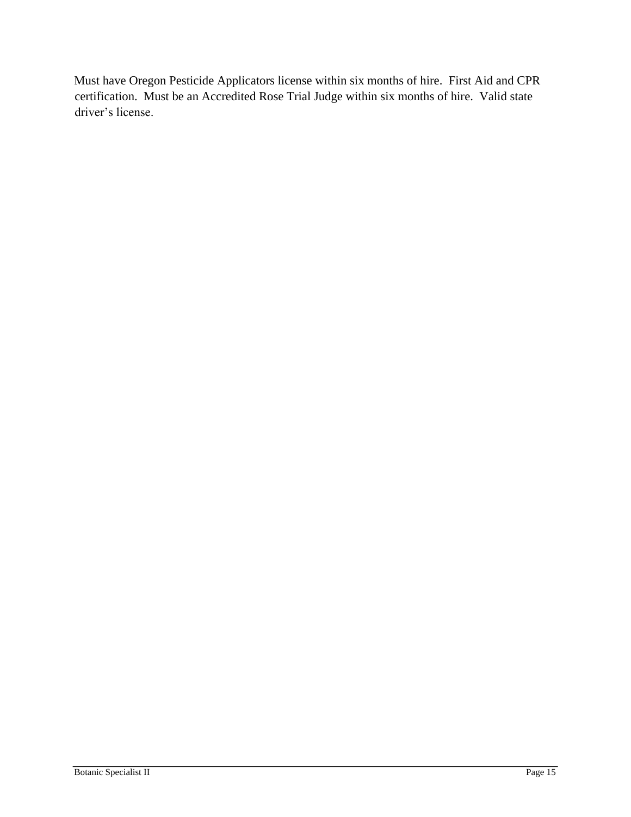Must have Oregon Pesticide Applicators license within six months of hire. First Aid and CPR certification. Must be an Accredited Rose Trial Judge within six months of hire. Valid state driver's license.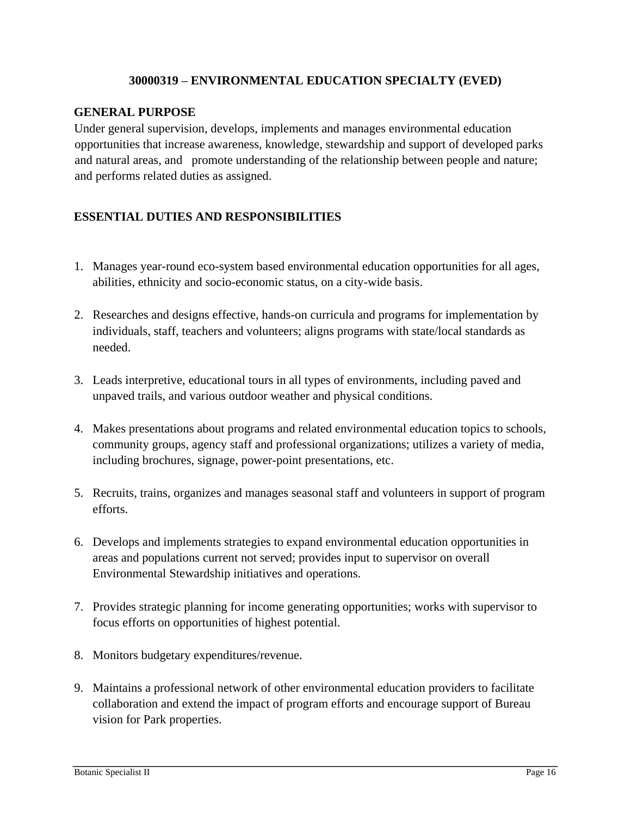## **30000319 – ENVIRONMENTAL EDUCATION SPECIALTY (EVED)**

## **GENERAL PURPOSE**

Under general supervision, develops, implements and manages environmental education opportunities that increase awareness, knowledge, stewardship and support of developed parks and natural areas, and promote understanding of the relationship between people and nature; and performs related duties as assigned.

# **ESSENTIAL DUTIES AND RESPONSIBILITIES**

- 1. Manages year-round eco-system based environmental education opportunities for all ages, abilities, ethnicity and socio-economic status, on a city-wide basis.
- 2. Researches and designs effective, hands-on curricula and programs for implementation by individuals, staff, teachers and volunteers; aligns programs with state/local standards as needed.
- 3. Leads interpretive, educational tours in all types of environments, including paved and unpaved trails, and various outdoor weather and physical conditions.
- 4. Makes presentations about programs and related environmental education topics to schools, community groups, agency staff and professional organizations; utilizes a variety of media, including brochures, signage, power-point presentations, etc.
- 5. Recruits, trains, organizes and manages seasonal staff and volunteers in support of program efforts.
- 6. Develops and implements strategies to expand environmental education opportunities in areas and populations current not served; provides input to supervisor on overall Environmental Stewardship initiatives and operations.
- 7. Provides strategic planning for income generating opportunities; works with supervisor to focus efforts on opportunities of highest potential.
- 8. Monitors budgetary expenditures/revenue.
- 9. Maintains a professional network of other environmental education providers to facilitate collaboration and extend the impact of program efforts and encourage support of Bureau vision for Park properties.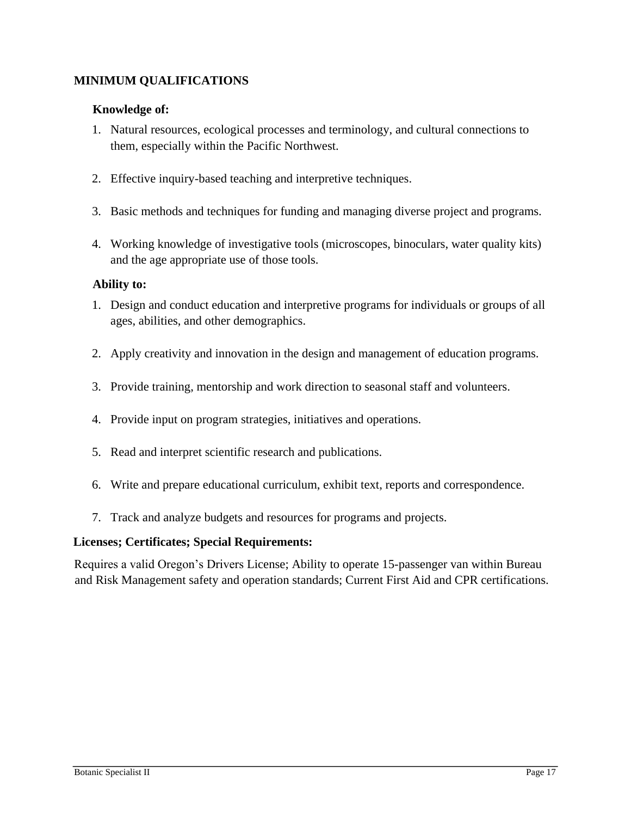# **MINIMUM QUALIFICATIONS**

# **Knowledge of:**

- 1. Natural resources, ecological processes and terminology, and cultural connections to them, especially within the Pacific Northwest.
- 2. Effective inquiry-based teaching and interpretive techniques.
- 3. Basic methods and techniques for funding and managing diverse project and programs.
- 4. Working knowledge of investigative tools (microscopes, binoculars, water quality kits) and the age appropriate use of those tools.

# **Ability to:**

- 1. Design and conduct education and interpretive programs for individuals or groups of all ages, abilities, and other demographics.
- 2. Apply creativity and innovation in the design and management of education programs.
- 3. Provide training, mentorship and work direction to seasonal staff and volunteers.
- 4. Provide input on program strategies, initiatives and operations.
- 5. Read and interpret scientific research and publications.
- 6. Write and prepare educational curriculum, exhibit text, reports and correspondence.
- 7. Track and analyze budgets and resources for programs and projects.

# **Licenses; Certificates; Special Requirements:**

Requires a valid Oregon's Drivers License; Ability to operate 15-passenger van within Bureau and Risk Management safety and operation standards; Current First Aid and CPR certifications.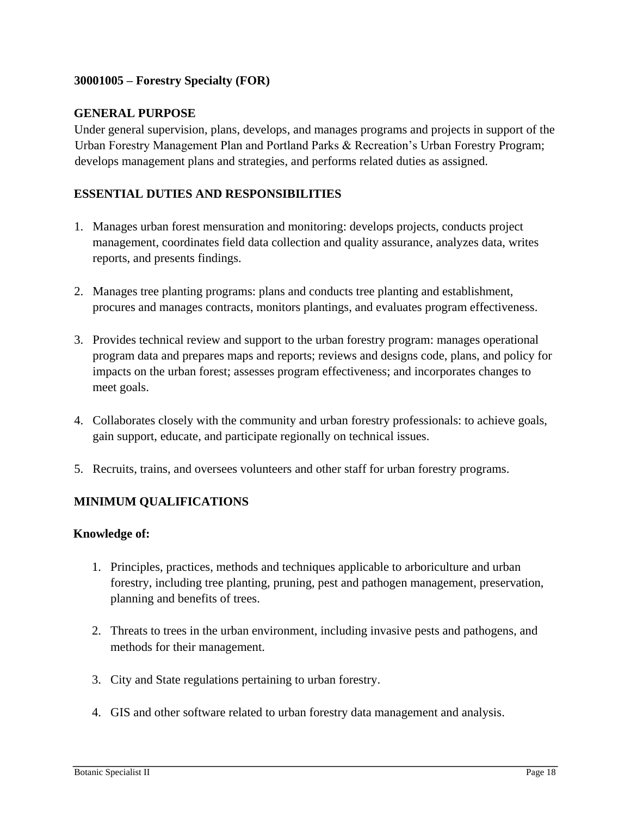# **30001005 – Forestry Specialty (FOR)**

## **GENERAL PURPOSE**

Under general supervision, plans, develops, and manages programs and projects in support of the Urban Forestry Management Plan and Portland Parks & Recreation's Urban Forestry Program; develops management plans and strategies, and performs related duties as assigned.

# **ESSENTIAL DUTIES AND RESPONSIBILITIES**

- 1. Manages urban forest mensuration and monitoring: develops projects, conducts project management, coordinates field data collection and quality assurance, analyzes data, writes reports, and presents findings.
- 2. Manages tree planting programs: plans and conducts tree planting and establishment, procures and manages contracts, monitors plantings, and evaluates program effectiveness.
- 3. Provides technical review and support to the urban forestry program: manages operational program data and prepares maps and reports; reviews and designs code, plans, and policy for impacts on the urban forest; assesses program effectiveness; and incorporates changes to meet goals.
- 4. Collaborates closely with the community and urban forestry professionals: to achieve goals, gain support, educate, and participate regionally on technical issues.
- 5. Recruits, trains, and oversees volunteers and other staff for urban forestry programs.

# **MINIMUM QUALIFICATIONS**

## **Knowledge of:**

- 1. Principles, practices, methods and techniques applicable to arboriculture and urban forestry, including tree planting, pruning, pest and pathogen management, preservation, planning and benefits of trees.
- 2. Threats to trees in the urban environment, including invasive pests and pathogens, and methods for their management.
- 3. City and State regulations pertaining to urban forestry.
- 4. GIS and other software related to urban forestry data management and analysis.